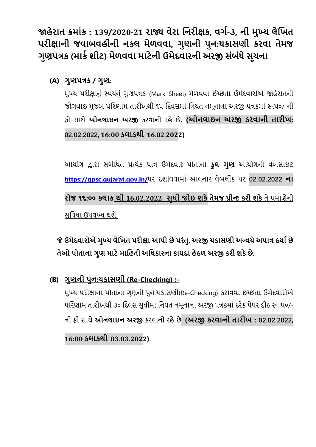**જાહેરાત ક્રમાાંક : 139/2020-21 રાજ્ય વેરા નિરીક્ષક, વર્ગ-૩, િી મુખ્ય લેનિત પરીક્ષાિી જવાબવહીિી િકલ મેળવવા, ર્ુણિી પુિ:ચકાસણી કરવા તેમજ ર્ુણપત્રક (માક ગ શીટ) મેળવવા માટેિી ઉમેદવારિી અરજી સાંબાંધેસૂચિા**

**(A) ર્ુણપત્રક / ર્ુણ:**

મુખ્ય પરીક્ષાનુું સ્વયુંનુું ગુણપત્રક (Mark Sheet) મેળવવા ઈચ્છતા ઉમેદવારોએ જાહેરાતની જોગવાઇ મુજબ પરિણામ તારીખથી ૧૫ દિવસમાં નિયત નમૂનાના અરજી પત્રકમાં રુ.૫૦/-ની ફી સાથે **ઓિલાઇિ અરજી** કરવાની રહેછે**. (ઓિલાઇિ અરજી કરવાિી તારીિ: 02.02.2022, 16:00 કલાકથી 16.02.2022)**

આયોગ દ્વારા સબુંરિત પ્રત્યેક પાત્ર ઉમેદવાર પોતાના **કુલ ર્ુણ** આયોગની વેબસાઇટ **https://gpsc.[gujarat](https://gpsc.gujarat.gov.in/).gov.in/**પર દર્ાાવવામાું આવનાર વેબલીકું પર **02.02.2022 િા રોજ ૧૬:૦૦ કલાક થી 16.02.2022 સુધી જોઇ શકેતેમજ પ્રીન્ટ કરી શકે**તે પ્રમાણેની સુવિધા ઉપલબ્ધ થશે.

## **જેઉમદેવારોએ મુખ્ય લનેિત પરીક્ષા આપી છેપરાંતુ, અરજી ચકાસણી અ ન્વયે અપાત્ર યયાગ છે તેઓ પોતાિા ર્ુણ માટેમાનહતી અનધકારિા કાયદા હેયળ અરજી કરી શકેછે.**

**(B) ર્ુણિી પુિ:ચકાસણી (Re-Checking) :-**

મુખ્ય પરીક્ષાના પોતાના ગુણની પુન:ચકાસણી(Re-Checking) કરાવવા ઇચ્છતા ઉમેદવારોએ પરિણામ તારીખથી ૩૦ દિવસ સુધીમાં નિયત નમુનાના અરજી પત્રકમાં દરેક પેપર દીઠ રુ. ૫૦/-ની ફી સાથે **ઓિલાઇિ અરજી** કરવાની રહેછે. **(અરજી કરવાિી તારીિ : 02.02.2022,** 

**16:00 કલાકથી 03.03.2022)**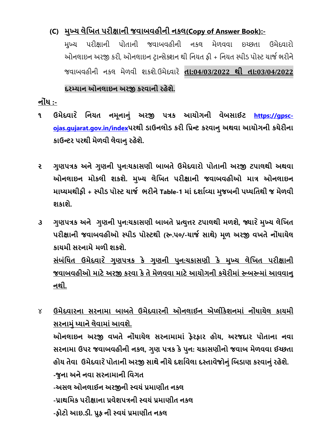## **(C) મુખ્ય લેનિત પરીક્ષાિી જવાબવહીિી િકલ(Copy of Answer Book):-**

મુખ્ય પરીક્ષાની પોતાની જવાબવહીની નકલ મેળવવા ઇચ્છતા ઉમેદવારો ઓનલાઇન અરજી કરી, ઓનલાઇન ટરાન્સેક્ર્ન થી રનયત ફી + રનયત સ્પીડ પોસ્ટ ચાજા ભરીને જવાબવહીની નકલ મેળવી ર્કર્ે.ઉમેદવારે **તા:04/03/2022 થી તા:03/04/2022**

## **દરમ્યાિ ઓિલાઇિ અરજી કરવાિી રહેશે.**

**િોાંધ :-**

- **૧ ઉમેદવાર ે નિયત િમૂિાિુાં અરજી પત્રક આયોર્િી વેબસાઈટ https://[gpsc](https://gpsc-ojas.gujarat.gov.in/index)ojas.[gujarat](https://gpsc-ojas.gujarat.gov.in/index).gov.in/indexપરથી ડાઉિલોડ કરી નપ્રન્ટ કરવાિુઅથવા આયોર્િી કચેરીિા કાઉન્ટર પરથી મળે વી લવે ાિુરહેશે.**
- **૨ ર્ુણપત્રક અિેર્ણુ િી પુિ:ચકાસણી બાબતે ઉમેદવારો પોતાિી અરજી ટપાલથી અથવા ઓિલાઇિ મોકલી શકશે. મુખ્ય લેનિત પરીક્ષાિી જવાબવહીઓ માત્ર ઓિલાઇિ માધ્યમથીફી + સ્પીડ પોસ્ટ ચાજગ ભરીિે Table-1 માાંદશાગવ્યા મજુ બિી પધ્ધનતથી જ મેળવી શકાશે.**
- **૩ ર્ુણપત્રક અિે ર્ુણિી પુિ:ચકાસણી બાબતેપ્રત્યુત્તર ટપાલથી મળશે, જ્યાર ેમુખ્ય લેનિત પરીક્ષાિી જવાબવહીઓ સ્પીડ પોસ્ટથી (રૂ.૫૦/-ચાજગ સાથે) મૂળ અરજી વિતેિોધાં ાયેલ કાયમી સરિામેમળી શકશે. સાંબાંનધત ઉમેદવાર ે ર્ણુ પત્રક કે ર્ુણિી પિુ :ચકાસણી કે મુખ્ય લેનિત પરીક્ષાિી** <u>જવાબવહીઓ માટે અરજી કરવા કે તે મેળવવા માટે આયોગની કચેરીમાં રૂબરૂમાં આવવાનુ</u> **િથી.**

૪ **ઉમેદવારિા સરિામા બાબતે ઉમેદવારિી ઓિલાઈિ એપ્લીકેશિમાાં િોાંધાયેલ કાયમી સરિામુાંધ્યાિેલેવામાાંઆવશે. ઓિલાઇિ અરજી વિતે િોાંધાયેલ સરિામામાાં ફેરફાર હોય, અરજદાર પોતાિા િવા સરિામા ઉપર જવાબવહીિી િકલ, ર્ુણ પત્રક કેપુિ: ચકાસણીિો જવાબ મેળવવા ઈચ્છતા હોય તેવા ઉમેદવાર ેપોતાિી અરજી સાથેિીચેદશાગવેલા દસ્તાવજે ોિુાંનબડાણ કરવાિુાંરહેશે. -જુિા અિેિવા સરિામાિી નવર્ત** -અસલ ઓનલાઈન અરજીની સ્વયં પ્રમાણીત નકલ -પ્રાથમિક પરીક્ષાના પ્રવેશપત્રની સ્વયં પ્રમાણીત નકલ **-ફોટો આઇ.ડી. પ્રુફ િી સ્વયાંપ્રમાણીત િકલ**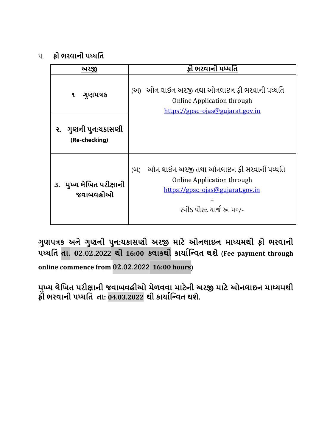૫. **કી ભરવાની પધ્ધતિ** 

| <u> અરજી</u>                         | ફી ભરવાની પધ્ધતિ                                                                                                                                                    |  |
|--------------------------------------|---------------------------------------------------------------------------------------------------------------------------------------------------------------------|--|
| ગુણપત્રક<br>٩                        | (અ) ઓન લાઈન અરજી તથા ઓનલાઇન ફી ભરવાની પધ્ધતિ<br><b>Online Application through</b><br>https://gpsc-ojas@gujarat.gov.in                                               |  |
| ૨. ગુણની પુન:યકાસણી<br>(Re-checking) |                                                                                                                                                                     |  |
| ૩. મુખ્ય લેખિત પરીક્ષાની<br>જવાબવહીઓ | ઓન લાઈન અરજી તથા ઓનલાઇન ફી ભરવાની પધ્ધતિ<br>(U)<br><b>Online Application through</b><br>https://gpsc-ojas@gujarat.gov.in<br>$\ddot{}$<br>સ્પીડ પોસ્ટ યાર્જ રુ. ૫૦/- |  |

**ર્ુણપત્રક અિે ર્ુણિી પુિ:ચકાસણી અરજી માટે ઓિલાઇિ માધ્યમથી ફી ભરવાિી પધ્ધનત તા. 02.02.2022 થી 16:00 કલાકથી કાયાગનન્વત થશે (Fee payment through** 

**online commence from 02.02.2022 16:00 hours)**

**મુખ્ય લેનિત પરીક્ષાિી જવાબવહીઓ મેળવવા માટેિી અરજી માટે ઓિલાઇિ માધ્યમથી ફી ભરવાિી પધ્ધનત તા: 04.03.2022 થી કાયાગનન્વત થશે.**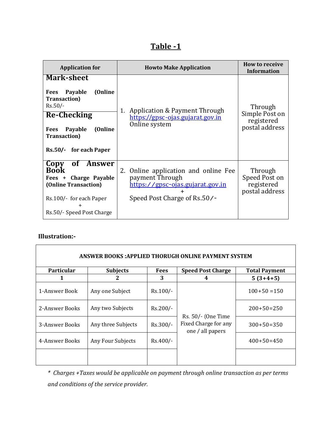|--|

| <b>Application for</b>                                                                                                                                                                            | <b>Howto Make Application</b>                                                                                                         | <b>How to receive</b><br><b>Information</b>               |
|---------------------------------------------------------------------------------------------------------------------------------------------------------------------------------------------------|---------------------------------------------------------------------------------------------------------------------------------------|-----------------------------------------------------------|
| <b>Mark-sheet</b><br>(Online<br>Payable<br>Fees<br><b>Transaction</b> )<br>$Rs.50/-$<br><b>Re-Checking</b><br>(Online<br>Payable<br><b>Fees</b><br><b>Transaction</b> )<br>Rs.50/- for each Paper | Application & Payment Through<br>1.<br>https://gpsc-ojas.gujarat.gov.in<br>Online system                                              | Through<br>Simple Post on<br>registered<br>postal address |
| of Answer<br>Copy<br><b>Book</b><br>Charge Payable<br>Fees $+$<br>(Online Transaction)<br>Rs.100/- for each Paper<br>$\div$<br>Rs.50/- Speed Post Charge                                          | Online application and online Fee<br>2.<br>payment Through<br><u>https://gpsc-ojas.gujarat.gov.in</u><br>Speed Post Charge of Rs.50/- | Through<br>Speed Post on<br>registered<br>postal address  |

#### **Illustration:-**

| <b>ANSWER BOOKS:APPLIED THORUGH ONLINE PAYMENT SYSTEM</b> |                    |             |                                                                |                      |  |  |
|-----------------------------------------------------------|--------------------|-------------|----------------------------------------------------------------|----------------------|--|--|
| <b>Particular</b>                                         | <b>Subjects</b>    | <b>Fees</b> | <b>Speed Post Charge</b>                                       | <b>Total Payment</b> |  |  |
| 1                                                         | 2                  | 3           | 4                                                              | $5(3+4+5)$           |  |  |
| 1-Answer Book                                             | Any one Subject    | $Rs.100/-$  |                                                                | $100+50=150$         |  |  |
| 2-Answer Books                                            | Any two Subjects   | $Rs.200/-$  |                                                                | $200+50=250$         |  |  |
| 3-Answer Books                                            | Any three Subjects | Rs.300/-    | Rs. 50/- (One Time<br>Fixed Charge for any<br>one / all papers | $300+50=350$         |  |  |
| 4-Answer Books                                            | Any Four Subjects  | Rs.400/-    |                                                                | $400+50=450$         |  |  |
|                                                           |                    |             |                                                                |                      |  |  |

*\* Charges +Taxes would be applicable on payment through online transaction as per terms and conditions of the service provider.*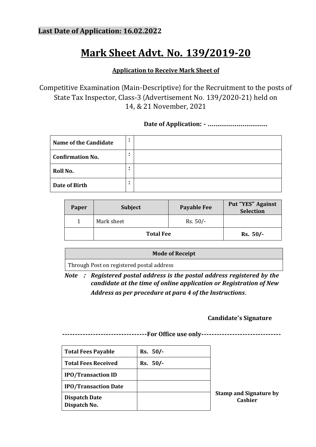# **Mark Sheet Advt. No. 139/2019-20**

### **Application to Receive Mark Sheet of**

Competitive Examination (Main-Descriptive) for the Recruitment to the posts of State Tax Inspector, Class-3 (Advertisement No. 139/2020-21) held on 14, & 21 November, 2021

**Date of Application: - ………………………….**

| Name of the Candidate   | $\bullet$<br>٠ |  |
|-------------------------|----------------|--|
| <b>Confirmation No.</b> | $\bullet$      |  |
| Roll No.                | $\bullet$<br>٠ |  |
| Date of Birth           | $\bullet$<br>٠ |  |

| Paper | <b>Subject</b>   | <b>Payable Fee</b> | <b>Put "YES" Against</b><br>Selection |
|-------|------------------|--------------------|---------------------------------------|
|       | Mark sheet       | $Rs. 50/-$         |                                       |
|       | <b>Total Fee</b> | $Rs. 50/-$         |                                       |

**Mode of Receipt** Through Post on registered postal address

*Note* **:** *Registered postal address is the postal address registered by the candidate at the time of online application or Registration of New Address as per procedure at para 4 of the Instructions***.**

### **Candidate's Signature**

**---------------------------------For Office use only-------------------------------**

| <b>Total Fees Payable</b>            | Rs. 50/- |      |
|--------------------------------------|----------|------|
| <b>Total Fees Received</b>           | Rs. 50/- |      |
| <b>IPO/Transaction ID</b>            |          |      |
| <b>IPO/Transaction Date</b>          |          |      |
| <b>Dispatch Date</b><br>Dispatch No. |          | Stai |

**Stamp and Signature by Cashier**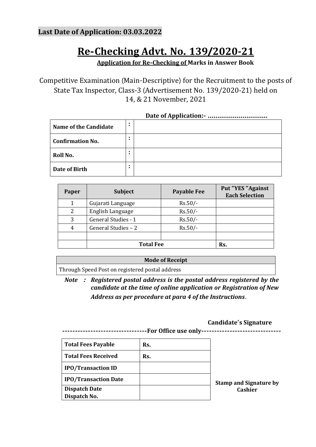## **Last Date of Application: 03.03.2022**

# **Re-Checking Advt. No. 139/2020-21**

**Application for Re-Checking of Marks in Answer Book**

Competitive Examination (Main-Descriptive) for the Recruitment to the posts of State Tax Inspector, Class-3 (Advertisement No. 139/2020-21) held on 14, & 21 November, 2021

| Name of the Candidate   | $\bullet$ |  |  |  |
|-------------------------|-----------|--|--|--|
| <b>Confirmation No.</b> | ٠         |  |  |  |
| Roll No.                | ٠         |  |  |  |
| Date of Birth           | ٠         |  |  |  |

| Paper | <b>Subject</b>             | <b>Payable Fee</b> | Put "YES "Against<br><b>Each Selection</b> |
|-------|----------------------------|--------------------|--------------------------------------------|
|       | Gujarati Language          | $Rs.50/-$          |                                            |
| 2     | English Language           | $Rs.50/-$          |                                            |
| 3     | <b>General Studies - 1</b> | $Rs.50/-$          |                                            |
| 4     | General Studies - 2        | $Rs.50/-$          |                                            |
|       |                            |                    |                                            |
|       | <b>Total Fee</b>           | Rs.                |                                            |

#### **Mode of Receipt**

Through Speed Post on registered postal address

*Note* **:** *Registered postal address is the postal address registered by the candidate at the time of online application or Registration of New Address as per procedure at para 4 of the Instructions***.**

#### **Candidate's Signature**

**---------------------------------For Office use only-------------------------------**

| <b>Total Fees Payable</b>   | Rs. |                               |
|-----------------------------|-----|-------------------------------|
| <b>Total Fees Received</b>  | Rs. |                               |
| <b>IPO/Transaction ID</b>   |     |                               |
| <b>IPO/Transaction Date</b> |     | <b>Stamp and Signature by</b> |
| <b>Dispatch Date</b>        |     | <b>Cashier</b>                |
| Dispatch No.                |     |                               |